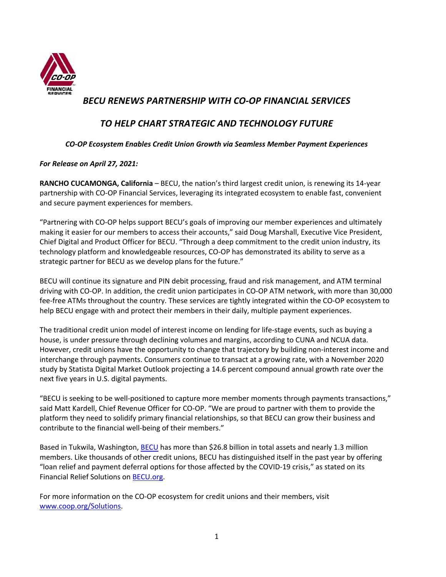

## *BECU RENEWS PARTNERSHIP WITH CO-OP FINANCIAL SERVICES*

# *TO HELP CHART STRATEGIC AND TECHNOLOGY FUTURE*

### *CO-OP Ecosystem Enables Credit Union Growth via Seamless Member Payment Experiences*

### *For Release on April 27, 2021:*

**RANCHO CUCAMONGA, California** – BECU, the nation's third largest credit union, is renewing its 14-year partnership with CO-OP Financial Services, leveraging its integrated ecosystem to enable fast, convenient and secure payment experiences for members.

"Partnering with CO-OP helps support BECU's goals of improving our member experiences and ultimately making it easier for our members to access their accounts," said Doug Marshall, Executive Vice President, Chief Digital and Product Officer for BECU. "Through a deep commitment to the credit union industry, its technology platform and knowledgeable resources, CO-OP has demonstrated its ability to serve as a strategic partner for BECU as we develop plans for the future."

BECU will continue its signature and PIN debit processing, fraud and risk management, and ATM terminal driving with CO-OP. In addition, the credit union participates in CO-OP ATM network, with more than 30,000 fee-free ATMs throughout the country. These services are tightly integrated within the CO-OP ecosystem to help BECU engage with and protect their members in their daily, multiple payment experiences.

The traditional credit union model of interest income on lending for life-stage events, such as buying a house, is under pressure through declining volumes and margins, according to CUNA and NCUA data. However, credit unions have the opportunity to change that trajectory by building non-interest income and interchange through payments. Consumers continue to transact at a growing rate, with a November 2020 study by Statista Digital Market Outlook projecting a 14.6 percent compound annual growth rate over the next five years in U.S. digital payments.

"BECU is seeking to be well-positioned to capture more member moments through payments transactions," said Matt Kardell, Chief Revenue Officer for CO-OP. "We are proud to partner with them to provide the platform they need to solidify primary financial relationships, so that BECU can grow their business and contribute to the financial well-being of their members."

Based in Tukwila, Washington, BECU has more than \$26.8 billion in total assets and nearly 1.3 million members. Like thousands of other credit unions, BECU has distinguished itself in the past year by offering "loan relief and payment deferral options for those affected by the COVID-19 crisis," as stated on its Financial Relief Solutions on BECU.org.

For more information on the CO-OP ecosystem for credit unions and their members, visit www.coop.org/Solutions.